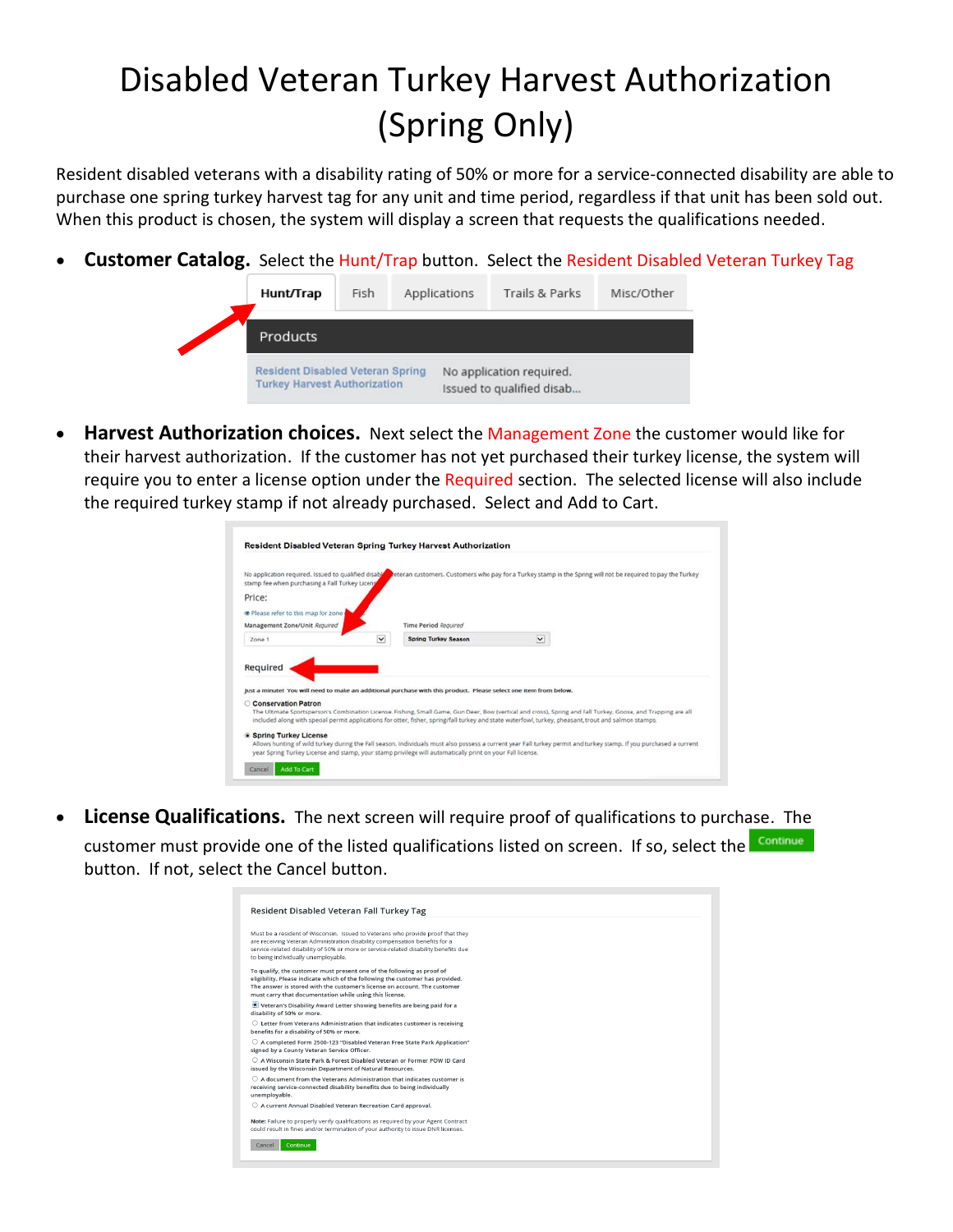## Disabled Veteran Turkey Harvest Authorization (Spring Only)

Resident disabled veterans with a disability rating of 50% or more for a service-connected disability are able to purchase one spring turkey harvest tag for any unit and time period, regardless if that unit has been sold out. When this product is chosen, the system will display a screen that requests the qualifications needed.

• **Customer Catalog.** Select the Hunt/Trap button. Select the Resident Disabled Veteran Turkey Tag



• **Harvest Authorization choices.** Next select the Management Zone the customer would like for their harvest authorization. If the customer has not yet purchased their turkey license, the system will require you to enter a license option under the Required section. The selected license will also include the required turkey stamp if not already purchased. Select and Add to Cart.

| No application required. Issued to qualified disabl<br>stamp fee when purchasing a Fall Turkey Liceng | beteran customers. Customers who pay for a Turkey stamp in the Spring will not be required to pay the Turkey                                                                                                                                                                                                           |  |
|-------------------------------------------------------------------------------------------------------|------------------------------------------------------------------------------------------------------------------------------------------------------------------------------------------------------------------------------------------------------------------------------------------------------------------------|--|
| Price:                                                                                                |                                                                                                                                                                                                                                                                                                                        |  |
| The Please refer to this map for zone                                                                 |                                                                                                                                                                                                                                                                                                                        |  |
| Management Zone/Unit Required                                                                         | Time Period Reguired                                                                                                                                                                                                                                                                                                   |  |
| Zone 1                                                                                                | $\breve{~}$<br>$\checkmark$<br>Spring Turkey Season                                                                                                                                                                                                                                                                    |  |
| Required                                                                                              |                                                                                                                                                                                                                                                                                                                        |  |
|                                                                                                       | Just a minute! You will need to make an additional purchase with this product. Please select one item from below.                                                                                                                                                                                                      |  |
|                                                                                                       | The Ultimate Sportsperson's Combination License, Fishing, Small Game, Gun Deer, Bow (vertical and cross), Spring and Fall Turkey, Goose, and Trapping are all<br>included along with special permit applications for otter, fisher, spring/fall turkey and state waterfowl, turkey, pheasant, trout and salmon stamps. |  |
| Conservation Patron<br><b>Spring Turkey License</b>                                                   | Allows hunting of wild turkey during the Fall season. Individuals must also possess a current year Fall turkey permit and turkey stamp. If you purchased a current<br>year Spring Turkey License and stamp, your stamp privilege will automatically print on your Fall license.                                        |  |

• **License Qualifications.** The next screen will require proof of qualifications to purchase. The  $\begin{array}{ll} \textbf{Continue} \end{array}$ customer must provide one of the listed qualifications listed on screen. If so, select the button. If not, select the Cancel button.

| O Veteran's Disability Award Letter showing benefits are being paid for a<br>$\circlearrowright$ Letter from Veterans Administration that indicates customer is receiving<br>$\circlearrowright$ A completed Form 2500-123 "Disabled Veteran Free State Park Application"<br>signed by a County Veteran Service Officer.<br>A Wisconsin State Park & Forest Disabled Veteran or Former POW ID Card<br>issued by the Wisconsin Department of Natural Resources.<br>$\bigcirc$ A document from the Veterans Administration that indicates customer is<br>receiving service-connected disability benefits due to being individually<br>unemployable.<br>O A current Annual Disabled Veteran Recreation Card approval.<br>Note: Failure to properly verify qualifications as required by your Agent Contract<br>could result in fines and/or termination of your authority to issue DNR licenses.<br>Continue<br>Cancel | Resident Disabled Veteran Fall Turkey Tag                                                                                                                                                                                                                                                        |  |
|---------------------------------------------------------------------------------------------------------------------------------------------------------------------------------------------------------------------------------------------------------------------------------------------------------------------------------------------------------------------------------------------------------------------------------------------------------------------------------------------------------------------------------------------------------------------------------------------------------------------------------------------------------------------------------------------------------------------------------------------------------------------------------------------------------------------------------------------------------------------------------------------------------------------|--------------------------------------------------------------------------------------------------------------------------------------------------------------------------------------------------------------------------------------------------------------------------------------------------|--|
|                                                                                                                                                                                                                                                                                                                                                                                                                                                                                                                                                                                                                                                                                                                                                                                                                                                                                                                     | Must be a resident of Wisconsin. Issued to Veterans who provide proof that they<br>are receiving Veteran Administration disability compensation benefits for a<br>service-related disability of 50% or more or service-related disability benefits due<br>to being individually unemployable.    |  |
|                                                                                                                                                                                                                                                                                                                                                                                                                                                                                                                                                                                                                                                                                                                                                                                                                                                                                                                     | To qualify, the customer must present one of the following as proof of<br>eligibility. Please indicate which of the following the customer has provided.<br>The answer is stored with the customer's license on account. The customer<br>must carry that documentation while using this license. |  |
|                                                                                                                                                                                                                                                                                                                                                                                                                                                                                                                                                                                                                                                                                                                                                                                                                                                                                                                     | disability of 50% or more.                                                                                                                                                                                                                                                                       |  |
|                                                                                                                                                                                                                                                                                                                                                                                                                                                                                                                                                                                                                                                                                                                                                                                                                                                                                                                     | benefits for a disability of 50% or more.                                                                                                                                                                                                                                                        |  |
|                                                                                                                                                                                                                                                                                                                                                                                                                                                                                                                                                                                                                                                                                                                                                                                                                                                                                                                     |                                                                                                                                                                                                                                                                                                  |  |
|                                                                                                                                                                                                                                                                                                                                                                                                                                                                                                                                                                                                                                                                                                                                                                                                                                                                                                                     |                                                                                                                                                                                                                                                                                                  |  |
|                                                                                                                                                                                                                                                                                                                                                                                                                                                                                                                                                                                                                                                                                                                                                                                                                                                                                                                     |                                                                                                                                                                                                                                                                                                  |  |
|                                                                                                                                                                                                                                                                                                                                                                                                                                                                                                                                                                                                                                                                                                                                                                                                                                                                                                                     |                                                                                                                                                                                                                                                                                                  |  |
|                                                                                                                                                                                                                                                                                                                                                                                                                                                                                                                                                                                                                                                                                                                                                                                                                                                                                                                     |                                                                                                                                                                                                                                                                                                  |  |
|                                                                                                                                                                                                                                                                                                                                                                                                                                                                                                                                                                                                                                                                                                                                                                                                                                                                                                                     |                                                                                                                                                                                                                                                                                                  |  |